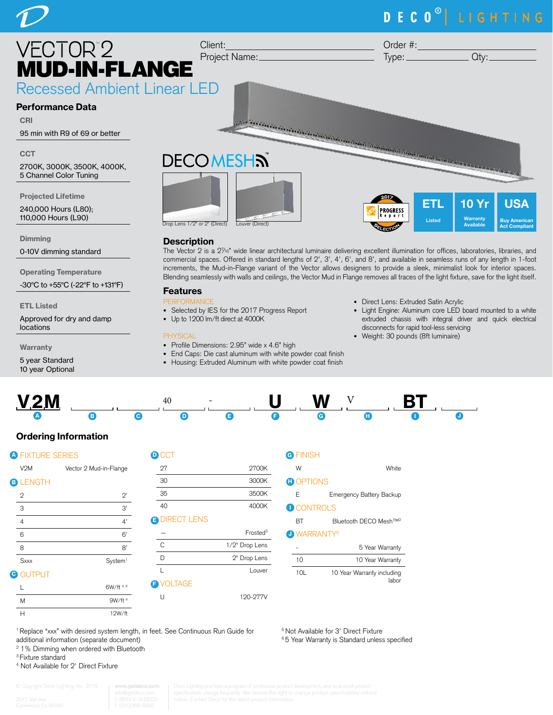# DECO<sup>®</sup> LIGHTING



**Dimming** 

0-10V dimming standard

Operating Temperature

-30°C to +55°C (-22°F to +131°F)

ETL Listed

Approved for dry and damp locations

**Warranty** 

5 year Standard 10 year Optional

# **Description**

The Vector 2 is a 27 /16" wide linear architectural luminaire delivering excellent illumination for offices, laboratories, libraries, and commercial spaces. Offered in standard lengths of 2', 3', 4', 6', and 8', and available in seamless runs of any length in 1-foot increments, the Mud-in-Flange variant of the Vector allows designers to provide a sleek, minimalist look for interior spaces. Blending seamlessly with walls and ceilings, the Vector Mud in Flange removes all traces of the light fixture, save for the light itself.

# Features

- PERFORMANCE
- Selected by IES for the 2017 Progress Report
- Up to 1200 lm/ft direct at 4000K

#### **PHYSICAL**

- Profile Dimensions: 2.95" wide x 4.6" high
- End Caps: Die cast aluminum with white powder coat finish
- Housing: Extruded Aluminum with white powder coat finish
- Direct Lens: Extruded Satin Acrylic
- Light Engine: Aluminum core LED board mounted to a white extruded chassis with integral driver and quick electrical disconnects for rapid tool-less servicing
- Weight: 30 pounds (8ft luminaire)



# Ordering Information

| <b>A FIXTURE SERIES</b>  |                        |                |
|--------------------------|------------------------|----------------|
| V2M                      | Vector 2 Mud-in-Flange | $\overline{2}$ |
| <b>B LENGTH</b>          |                        | 3              |
| $\mathbf{2}$             | $2^{\prime}$           | 3              |
| 3                        | 3'                     | $\overline{4}$ |
| $\overline{4}$           | 4'                     | Έ              |
| 6                        | 6'                     |                |
| 8                        | 8'                     | С              |
| Sxxx                     | System <sup>1</sup>    | C              |
| <b>OUTPUT</b><br>$\bf G$ |                        | L              |
|                          | 6W/ft 4, 5             |                |

| $)$ CCT              |                      |
|----------------------|----------------------|
| 27                   | 2700K                |
| 30                   | 3000K                |
| 35                   | 3500K                |
| 40                   | 4000K                |
| <b>B DIRECT LENS</b> |                      |
|                      |                      |
|                      | Frosted <sup>3</sup> |
| C                    | 1/2" Drop Lens       |
| D                    | 2" Drop Lens         |
| L                    | Louver               |
| <b>B</b> VOLTAGE     |                      |

#### G FINISH

W<br>White

|  | $\sim$ | $\sim$ |  |
|--|--------|--------|--|

E Emergency Battery Backup

#### **D** CONTROLS

BT Bluetooth DECO Mesh™<sup>2</sup>

#### J WARRANTY<sup>6</sup>

|     | 5 Year Warranty                     |
|-----|-------------------------------------|
| 10  | 10 Year Warranty                    |
| 10I | 10 Year Warranty including<br>lahor |

5 Not Available for 3' Direct Fixture <sup>6</sup> 5 Year Warranty is Standard unless specified

<sup>1</sup> Replace "xxx" with desired system length, in feet. See Continuous Run Guide for additional information (separate document)

<sup>2</sup> 1% Dimming when ordered with Bluetooth

M 9W/ft 4 H 12W/ft

3 Fixture standard

4 Not Available for 2' Direct Fixture

**www.getdeco.com**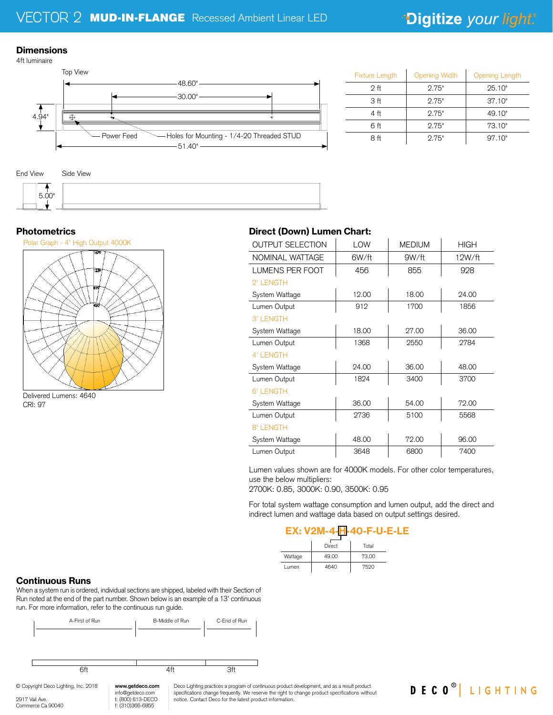### **Dimensions**



| <b>Fixture Length</b> | <b>Opening Width</b> | <b>Opening Length</b> |
|-----------------------|----------------------|-----------------------|
| 2 <sub>ft</sub>       | 2.75"                | 25.10"                |
| 3 ft                  | 2.75"                | 37.10"                |
| 4 ft                  | 2.75"                | 49.10"                |
| 6 ft                  | 2.75"                | 73.10"                |
| 8 ft                  | 2.75"                | 97.10"                |





# **Photometrics**



Delivered Lumens: 4640 CRI: 97

# Direct (Down) Lumen Chart:

| <b>OUTPUT SELECTION</b> | LOW   | <b>MEDIUM</b> | <b>HIGH</b> |
|-------------------------|-------|---------------|-------------|
| NOMINAL WATTAGE         | 6W/ft | 9W/ft         | 12W/ft      |
| LUMENS PER FOOT         | 456   | 855           | 928         |
| 2' LENGTH               |       |               |             |
| System Wattage          | 12.00 | 18.00         | 24.00       |
| Lumen Output            | 912   | 1700          | 1856        |
| 3' LENGTH               |       |               |             |
| System Wattage          | 18.00 | 27.00         | 36.00       |
| Lumen Output            | 1368  | 2550          | 2784        |
| 4' LENGTH               |       |               |             |
| System Wattage          | 24.00 | 36.00         | 48.00       |
| Lumen Output            | 1824  | 3400          | 3700        |
| 6' LENGTH               |       |               |             |
| System Wattage          | 36.00 | 54.00         | 72.00       |
| Lumen Output            | 2736  | 5100          | 5568        |
| 8' LENGTH               |       |               |             |
| System Wattage          | 48.00 | 72.00         | 96.00       |
| Lumen Output            | 3648  | 6800          | 7400        |

Lumen values shown are for 4000K models. For other color temperatures, use the below multipliers:

2700K: 0.85, 3000K: 0.90, 3500K: 0.95

For total system wattage consumption and lumen output, add the direct and indirect lumen and wattage data based on output settings desired.

DECO<sup>®</sup> LIGHTING

# EX: V2M-4-H-40-F-U-E-LE

|         | Direct | Total |  |
|---------|--------|-------|--|
| Wattage | 49.00  | 73.00 |  |
| Lumen   | 4640   | 7520  |  |

# Continuous Runs

When a system run is ordered, individual sections are shipped, labeled with their Section of Run noted at the end of the part number. Shown below is an example of a 13' continuous run. For more information, refer to the continuous run guide.



Deco Lighting practices a program of continuous product development, and as a result product specifications change frequently. We reserve the right to change product specifications without notice. Contact Deco for the latest product information.